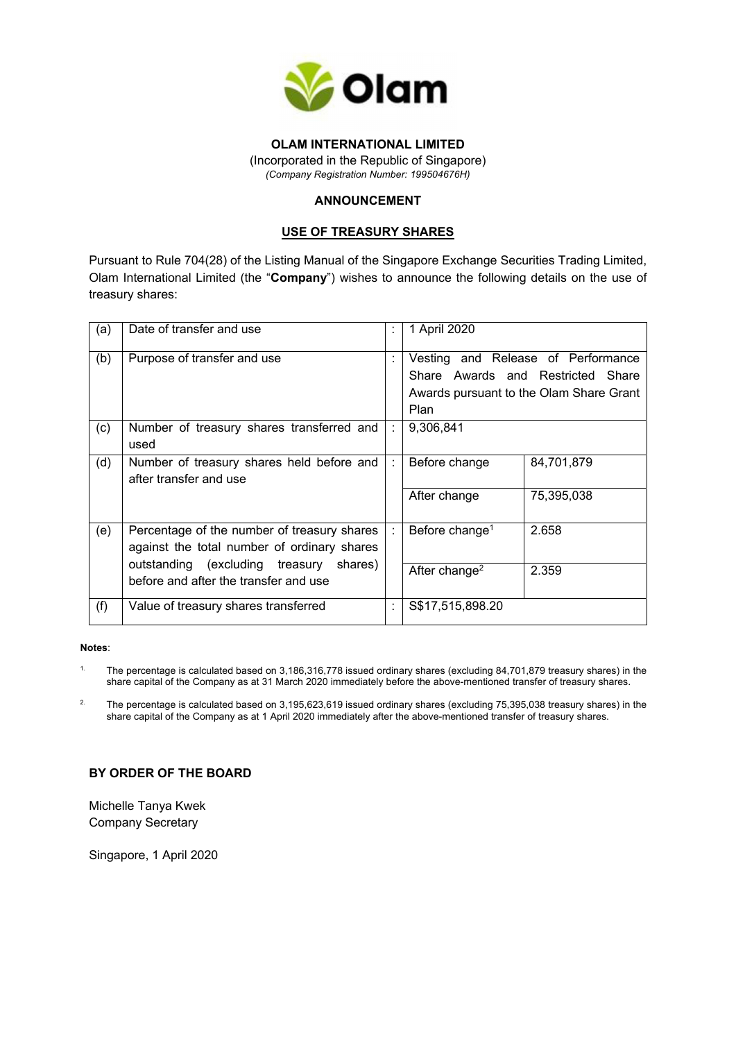

# **OLAM INTERNATIONAL LIMITED**

(Incorporated in the Republic of Singapore) *(Company Registration Number: 199504676H)* 

# **ANNOUNCEMENT**

## **USE OF TREASURY SHARES**

Pursuant to Rule 704(28) of the Listing Manual of the Singapore Exchange Securities Trading Limited, Olam International Limited (the "**Company**") wishes to announce the following details on the use of treasury shares:

| (a) | Date of transfer and use                                                                   |   | 1 April 2020                                                                                                               |
|-----|--------------------------------------------------------------------------------------------|---|----------------------------------------------------------------------------------------------------------------------------|
| (b) | Purpose of transfer and use                                                                |   | Vesting and Release of Performance<br>Share Awards and Restricted Share<br>Awards pursuant to the Olam Share Grant<br>Plan |
| (c) | Number of treasury shares transferred and<br>used                                          |   | 9,306,841                                                                                                                  |
| (d) | Number of treasury shares held before and<br>after transfer and use                        |   | 84,701,879<br>Before change                                                                                                |
|     |                                                                                            |   | 75,395,038<br>After change                                                                                                 |
| (e) | Percentage of the number of treasury shares<br>against the total number of ordinary shares |   | 2.658<br>Before change <sup>1</sup>                                                                                        |
|     | outstanding (excluding treasury shares)<br>before and after the transfer and use           |   | After change <sup>2</sup><br>2.359                                                                                         |
| (f) | Value of treasury shares transferred                                                       | ÷ | S\$17,515,898.20                                                                                                           |

#### **Notes**:

- <sup>1.</sup> The percentage is calculated based on 3,186,316,778 issued ordinary shares (excluding 84,701,879 treasury shares) in the share capital of the Company as at 31 March 2020 immediately before the above-mentioned transfer of treasury shares.
- <sup>2.</sup> The percentage is calculated based on 3,195,623,619 issued ordinary shares (excluding 75,395,038 treasury shares) in the share capital of the Company as at 1 April 2020 immediately after the above-mentioned transfer of treasury shares.

## **BY ORDER OF THE BOARD**

Michelle Tanya Kwek Company Secretary

Singapore, 1 April 2020